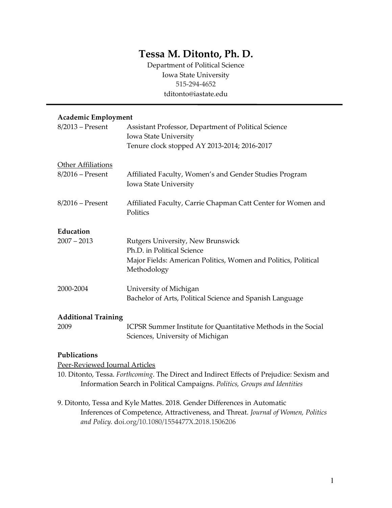# **Tessa M. Ditonto, Ph. D.**

Department of Political Science Iowa State University 515-294-4652 tditonto@iastate.edu

## **Academic Employment**

| $8/2013$ – Present                              | Assistant Professor, Department of Political Science<br>Iowa State University<br>Tenure clock stopped AY 2013-2014; 2016-2017                    |
|-------------------------------------------------|--------------------------------------------------------------------------------------------------------------------------------------------------|
| <b>Other Affiliations</b><br>$8/2016$ – Present | Affiliated Faculty, Women's and Gender Studies Program<br>Iowa State University                                                                  |
| $8/2016$ – Present                              | Affiliated Faculty, Carrie Chapman Catt Center for Women and<br>Politics                                                                         |
| Education<br>$2007 - 2013$                      | Rutgers University, New Brunswick<br>Ph.D. in Political Science<br>Major Fields: American Politics, Women and Politics, Political<br>Methodology |
| 2000-2004                                       | University of Michigan<br>Bachelor of Arts, Political Science and Spanish Language                                                               |
| <b>Additional Training</b><br>2009              | ICPSR Summer Institute for Quantitative Methods in the Social                                                                                    |

#### **Publications**

Peer-Reviewed Journal Articles

10. Ditonto, Tessa. *Forthcoming*. The Direct and Indirect Effects of Prejudice: Sexism and Information Search in Political Campaigns. *Politics, Groups and Identities*

Sciences, University of Michigan

9. Ditonto, Tessa and Kyle Mattes. 2018. Gender Differences in Automatic Inferences of Competence, Attractiveness, and Threat. *Journal of Women, Politics and Policy.* doi.org/10.1080/1554477X.2018.1506206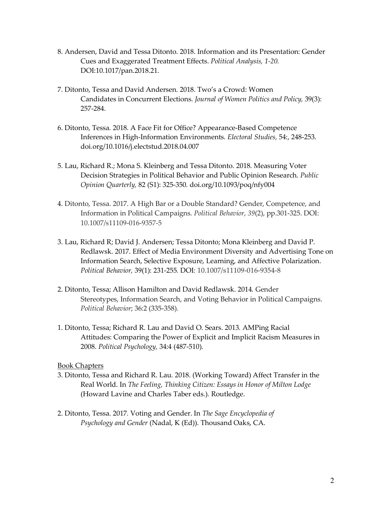- 8. Andersen, David and Tessa Ditonto. 2018. Information and its Presentation: Gender Cues and Exaggerated Treatment Effects. *Political Analysis, 1-20.*  DOI:10.1017/pan.2018.21.
- 7. Ditonto, Tessa and David Andersen. 2018. Two's a Crowd: Women Candidates in Concurrent Elections. *Journal of Women Politics and Policy,* 39(3): 257-284.
- 6. Ditonto, Tessa. 2018. A Face Fit for Office? Appearance-Based Competence Inferences in High-Information Environments. *Electoral Studies,* 54:, 248-253. doi.org/10.1016/j.electstud.2018.04.007
- 5. Lau, Richard R.; Mona S. Kleinberg and Tessa Ditonto. 2018. Measuring Voter Decision Strategies in Political Behavior and Public Opinion Research. *Public Opinion Quarterly,* 82 (S1): 325-350. doi.org/10.1093/poq/nfy004
- 4. Ditonto, Tessa. 2017. A High Bar or a Double Standard? Gender, Competence, and Information in Political Campaigns. *Political Behavior*, *39*(2), pp.301-325. DOI: 10.1007/s11109-016-9357-5
- 3. Lau, Richard R; David J. Andersen; Tessa Ditonto; Mona Kleinberg and David P. Redlawsk. 2017. Effect of Media Environment Diversity and Advertising Tone on Information Search, Selective Exposure, Learning, and Affective Polarization. *Political Behavior,* 39(1): 231-255*.* DOI: 10.1007/s11109-016-9354-8
- 2. Ditonto, Tessa; Allison Hamilton and David Redlawsk. 2014*.* Gender Stereotypes, Information Search, and Voting Behavior in Political Campaigns. *Political Behavior*; 36:2 (335-358)*.*
- 1. Ditonto, Tessa; Richard R. Lau and David O. Sears. 2013*.* AMPing Racial Attitudes: Comparing the Power of Explicit and Implicit Racism Measures in 2008. *Political Psychology,* 34:4 (487-510).

## Book Chapters

- 3. Ditonto, Tessa and Richard R. Lau. 2018. (Working Toward) Affect Transfer in the Real World. In *The Feeling, Thinking Citizen: Essays in Honor of Milton Lodge*  (Howard Lavine and Charles Taber eds.)*.* Routledge.
- 2. Ditonto, Tessa. 2017*.* Voting and Gender. In *The Sage Encyclopedia of Psychology and Gender* (Nadal, K (Ed)). Thousand Oaks, CA.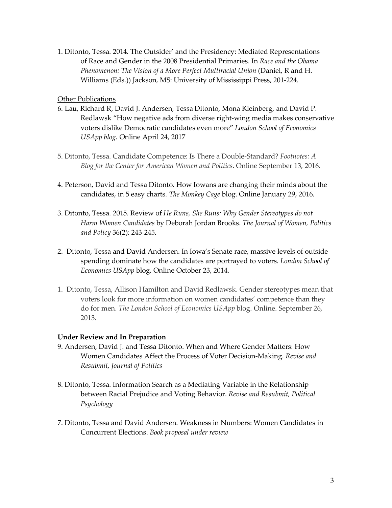1. Ditonto, Tessa. 2014*.* The Outsider' and the Presidency: Mediated Representations of Race and Gender in the 2008 Presidential Primaries. In *Race and the Obama Phenomenon: The Vision of a More Perfect Multiracial Union* (Daniel, R and H. Williams (Eds.)) Jackson, MS: University of Mississippi Press, 201-224.

#### Other Publications

- 6. Lau, Richard R, David J. Andersen, Tessa Ditonto, Mona Kleinberg, and David P. Redlawsk "How negative ads from diverse right-wing media makes conservative voters dislike Democratic candidates even more" *London School of Economics USApp blog.* Online April 24, 2017
- 5. Ditonto, Tessa. Candidate Competence: Is There a Double-Standard? *Footnotes: A Blog for the Center for American Women and Politics*. Online September 13, 2016.
- 4. Peterson, David and Tessa Ditonto. How Iowans are changing their minds about the candidates, in 5 easy charts. *The Monkey Cage* blog. Online January 29, 2016.
- 3. Ditonto, Tessa. 2015. Review of *He Runs, She Runs: Why Gender Stereotypes do not Harm Women Candidates* by Deborah Jordan Brooks. *The Journal of Women, Politics and Policy* 36(2): 243-245.
- 2. Ditonto, Tessa and David Andersen. In Iowa's Senate race, massive levels of outside spending dominate how the candidates are portrayed to voters. *London School of Economics USApp* blog. Online October 23, 2014.
- 1. Ditonto, Tessa, Allison Hamilton and David Redlawsk. Gender stereotypes mean that voters look for more information on women candidates' competence than they do for men. *The London School of Economics USApp* blog. Online. September 26, 2013.

#### **Under Review and In Preparation**

- 9. Andersen, David J. and Tessa Ditonto. When and Where Gender Matters: How Women Candidates Affect the Process of Voter Decision-Making. *Revise and Resubmit, Journal of Politics*
- 8. Ditonto, Tessa. Information Search as a Mediating Variable in the Relationship between Racial Prejudice and Voting Behavior. *Revise and Resubmit, Political Psychology*
- 7. Ditonto, Tessa and David Andersen. Weakness in Numbers: Women Candidates in Concurrent Elections. *Book proposal under review*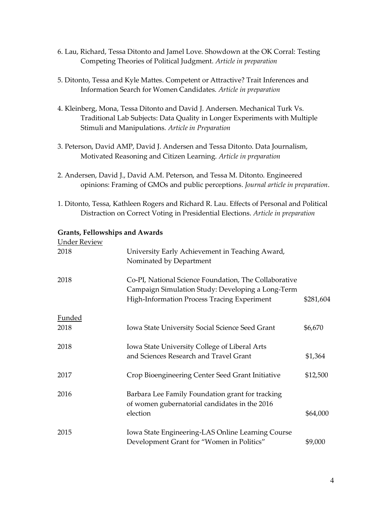- 6. Lau, Richard, Tessa Ditonto and Jamel Love. Showdown at the OK Corral: Testing Competing Theories of Political Judgment. *Article in preparation*
- 5. Ditonto, Tessa and Kyle Mattes. Competent or Attractive? Trait Inferences and Information Search for Women Candidates. *Article in preparation*
- 4. Kleinberg, Mona, Tessa Ditonto and David J. Andersen. Mechanical Turk Vs. Traditional Lab Subjects: Data Quality in Longer Experiments with Multiple Stimuli and Manipulations. *Article in Preparation*
- 3. Peterson, David AMP, David J. Andersen and Tessa Ditonto. Data Journalism, Motivated Reasoning and Citizen Learning. *Article in preparation*
- 2. Andersen, David J., David A.M. Peterson, and Tessa M. Ditonto. Engineered opinions: Framing of GMOs and public perceptions. *Journal article in preparation*.
- 1. Ditonto, Tessa, Kathleen Rogers and Richard R. Lau. Effects of Personal and Political Distraction on Correct Voting in Presidential Elections. *Article in preparation*

### **Grants, Fellowships and Awards**

| <b>Under Review</b> |                                                                                                                                                           |           |
|---------------------|-----------------------------------------------------------------------------------------------------------------------------------------------------------|-----------|
| 2018                | University Early Achievement in Teaching Award,<br>Nominated by Department                                                                                |           |
| 2018                | Co-PI, National Science Foundation, The Collaborative<br>Campaign Simulation Study: Developing a Long-Term<br>High-Information Process Tracing Experiment | \$281,604 |
| <b>Funded</b>       |                                                                                                                                                           |           |
| 2018                | Iowa State University Social Science Seed Grant                                                                                                           | \$6,670   |
| 2018                | Iowa State University College of Liberal Arts<br>and Sciences Research and Travel Grant                                                                   | \$1,364   |
| 2017                | Crop Bioengineering Center Seed Grant Initiative                                                                                                          | \$12,500  |
| 2016                | Barbara Lee Family Foundation grant for tracking<br>of women gubernatorial candidates in the 2016<br>election                                             | \$64,000  |
| 2015                | Iowa State Engineering-LAS Online Learning Course<br>Development Grant for "Women in Politics"                                                            | \$9,000   |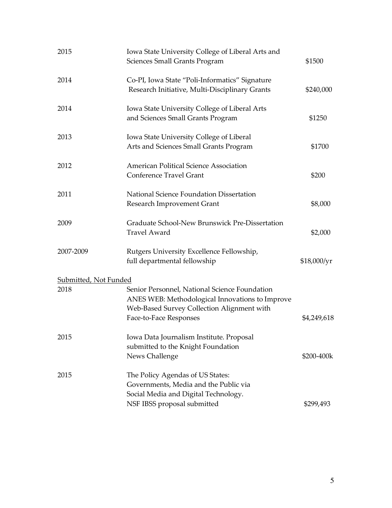| 2015                         | Iowa State University College of Liberal Arts and<br><b>Sciences Small Grants Program</b>                                                                                | \$1500      |
|------------------------------|--------------------------------------------------------------------------------------------------------------------------------------------------------------------------|-------------|
| 2014                         | Co-PI, Iowa State "Poli-Informatics" Signature<br>Research Initiative, Multi-Disciplinary Grants                                                                         | \$240,000   |
| 2014                         | Iowa State University College of Liberal Arts<br>and Sciences Small Grants Program                                                                                       | \$1250      |
| 2013                         | Iowa State University College of Liberal<br>Arts and Sciences Small Grants Program                                                                                       | \$1700      |
| 2012                         | American Political Science Association<br><b>Conference Travel Grant</b>                                                                                                 | \$200       |
| 2011                         | National Science Foundation Dissertation<br>Research Improvement Grant                                                                                                   | \$8,000     |
| 2009                         | Graduate School-New Brunswick Pre-Dissertation<br><b>Travel Award</b>                                                                                                    | \$2,000     |
| 2007-2009                    | Rutgers University Excellence Fellowship,<br>full departmental fellowship                                                                                                | \$18,000/yr |
| <u>Submitted, Not Funded</u> |                                                                                                                                                                          |             |
| 2018                         | Senior Personnel, National Science Foundation<br>ANES WEB: Methodological Innovations to Improve<br>Web-Based Survey Collection Alignment with<br>Face-to-Face Responses | \$4,249,618 |
| 2015                         | Iowa Data Journalism Institute. Proposal<br>submitted to the Knight Foundation<br>News Challenge                                                                         | \$200-400k  |
| 2015                         | The Policy Agendas of US States:<br>Governments, Media and the Public via<br>Social Media and Digital Technology.<br>NSF IBSS proposal submitted                         | \$299,493   |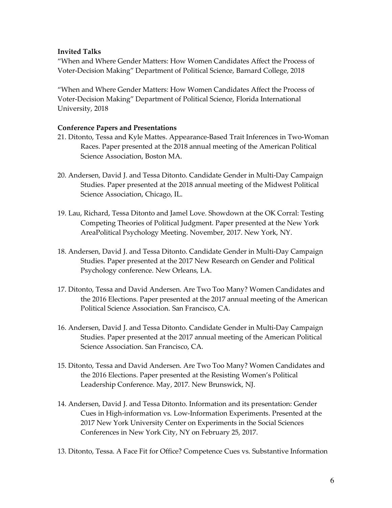## **Invited Talks**

"When and Where Gender Matters: How Women Candidates Affect the Process of Voter-Decision Making" Department of Political Science, Barnard College, 2018

"When and Where Gender Matters: How Women Candidates Affect the Process of Voter-Decision Making" Department of Political Science, Florida International University, 2018

## **Conference Papers and Presentations**

- 21. Ditonto, Tessa and Kyle Mattes. Appearance-Based Trait Inferences in Two-Woman Races. Paper presented at the 2018 annual meeting of the American Political Science Association, Boston MA.
- 20. Andersen, David J. and Tessa Ditonto. Candidate Gender in Multi-Day Campaign Studies*.* Paper presented at the 2018 annual meeting of the Midwest Political Science Association, Chicago, IL.
- 19. Lau, Richard, Tessa Ditonto and Jamel Love. Showdown at the OK Corral: Testing Competing Theories of Political Judgment. Paper presented at the New York AreaPolitical Psychology Meeting. November, 2017. New York, NY.
- 18. Andersen, David J. and Tessa Ditonto. Candidate Gender in Multi-Day Campaign Studies*.* Paper presented at the 2017 New Research on Gender and Political Psychology conference. New Orleans, LA.
- 17. Ditonto, Tessa and David Andersen. Are Two Too Many? Women Candidates and the 2016 Elections. Paper presented at the 2017 annual meeting of the American Political Science Association. San Francisco, CA.
- 16. Andersen, David J. and Tessa Ditonto. Candidate Gender in Multi-Day Campaign Studies*.* Paper presented at the 2017 annual meeting of the American Political Science Association. San Francisco, CA.
- 15. Ditonto, Tessa and David Andersen. Are Two Too Many? Women Candidates and the 2016 Elections. Paper presented at the Resisting Women's Political Leadership Conference. May, 2017. New Brunswick, NJ.
- 14. Andersen, David J. and Tessa Ditonto. Information and its presentation: Gender Cues in High-information vs. Low-Information Experiments. Presented at the 2017 New York University Center on Experiments in the Social Sciences Conferences in New York City, NY on February 25, 2017.
- 13. Ditonto, Tessa. A Face Fit for Office? Competence Cues vs. Substantive Information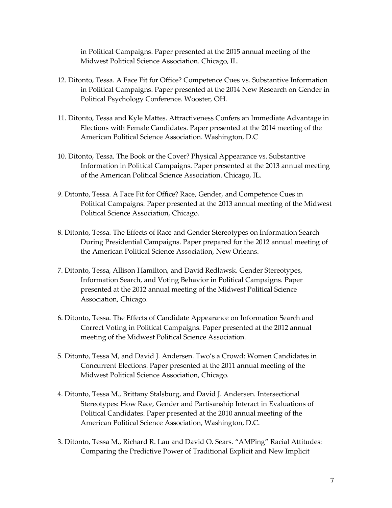in Political Campaigns. Paper presented at the 2015 annual meeting of the Midwest Political Science Association. Chicago, IL.

- 12. Ditonto, Tessa. A Face Fit for Office? Competence Cues vs. Substantive Information in Political Campaigns. Paper presented at the 2014 New Research on Gender in Political Psychology Conference. Wooster, OH.
- 11. Ditonto, Tessa and Kyle Mattes. Attractiveness Confers an Immediate Advantage in Elections with Female Candidates. Paper presented at the 2014 meeting of the American Political Science Association. Washington, D.C
- 10. Ditonto, Tessa. The Book or the Cover? Physical Appearance vs. Substantive Information in Political Campaigns. Paper presented at the 2013 annual meeting of the American Political Science Association. Chicago, IL.
- 9. Ditonto, Tessa. A Face Fit for Office? Race, Gender, and Competence Cues in Political Campaigns. Paper presented at the 2013 annual meeting of the Midwest Political Science Association, Chicago.
- 8. Ditonto, Tessa. The Effects of Race and Gender Stereotypes on Information Search During Presidential Campaigns. Paper prepared for the 2012 annual meeting of the American Political Science Association, New Orleans.
- 7. Ditonto, Tessa, Allison Hamilton, and David Redlawsk. Gender Stereotypes, Information Search, and Voting Behavior in Political Campaigns. Paper presented at the 2012 annual meeting of the Midwest Political Science Association, Chicago.
- 6. Ditonto, Tessa. The Effects of Candidate Appearance on Information Search and Correct Voting in Political Campaigns. Paper presented at the 2012 annual meeting of the Midwest Political Science Association.
- 5. Ditonto, Tessa M, and David J. Andersen. Two's a Crowd: Women Candidates in Concurrent Elections. Paper presented at the 2011 annual meeting of the Midwest Political Science Association, Chicago.
- 4. Ditonto, Tessa M., Brittany Stalsburg, and David J. Andersen. Intersectional Stereotypes: How Race, Gender and Partisanship Interact in Evaluations of Political Candidates. Paper presented at the 2010 annual meeting of the American Political Science Association, Washington, D.C.
- 3. Ditonto, Tessa M., Richard R. Lau and David O. Sears. "AMPing" Racial Attitudes: Comparing the Predictive Power of Traditional Explicit and New Implicit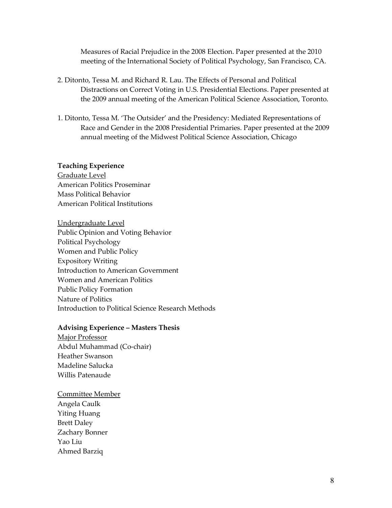Measures of Racial Prejudice in the 2008 Election. Paper presented at the 2010 meeting of the International Society of Political Psychology, San Francisco, CA.

- 2. Ditonto, Tessa M. and Richard R. Lau. The Effects of Personal and Political Distractions on Correct Voting in U.S. Presidential Elections. Paper presented at the 2009 annual meeting of the American Political Science Association, Toronto.
- 1. Ditonto, Tessa M. 'The Outsider' and the Presidency: Mediated Representations of Race and Gender in the 2008 Presidential Primaries. Paper presented at the 2009 annual meeting of the Midwest Political Science Association, Chicago

#### **Teaching Experience**

Graduate Level American Politics Proseminar Mass Political Behavior American Political Institutions

Undergraduate Level Public Opinion and Voting Behavior Political Psychology Women and Public Policy Expository Writing Introduction to American Government Women and American Politics Public Policy Formation Nature of Politics Introduction to Political Science Research Methods

#### **Advising Experience – Masters Thesis**

Major Professor Abdul Muhammad (Co-chair) Heather Swanson Madeline Salucka Willis Patenaude

## Committee Member Angela Caulk Yiting Huang Brett Daley Zachary Bonner Yao Liu Ahmed Barziq